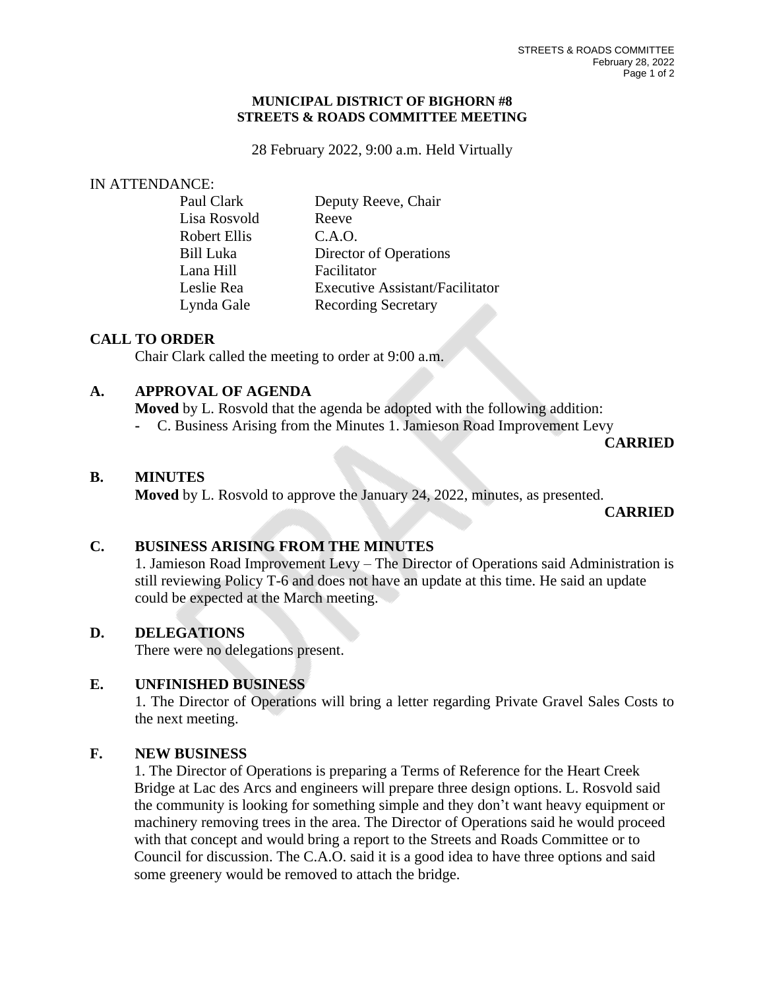#### **MUNICIPAL DISTRICT OF BIGHORN #8 STREETS & ROADS COMMITTEE MEETING**

28 February 2022, 9:00 a.m. Held Virtually

#### IN ATTENDANCE:

| Lisa Rosvold<br>Reeve<br>C.A.O.<br>Robert Ellis<br>Director of Operations<br>Bill Luka<br>Lana Hill<br>Facilitator<br>Leslie Rea<br>Lynda Gale<br><b>Recording Secretary</b> | Paul Clark | Deputy Reeve, Chair                    |
|------------------------------------------------------------------------------------------------------------------------------------------------------------------------------|------------|----------------------------------------|
|                                                                                                                                                                              |            |                                        |
|                                                                                                                                                                              |            |                                        |
|                                                                                                                                                                              |            |                                        |
|                                                                                                                                                                              |            |                                        |
|                                                                                                                                                                              |            | <b>Executive Assistant/Facilitator</b> |
|                                                                                                                                                                              |            |                                        |

## **CALL TO ORDER**

Chair Clark called the meeting to order at 9:00 a.m.

# **A. APPROVAL OF AGENDA**

**Moved** by L. Rosvold that the agenda be adopted with the following addition:

**-** C. Business Arising from the Minutes 1. Jamieson Road Improvement Levy

**CARRIED**

#### **B. MINUTES**

**Moved** by L. Rosvold to approve the January 24, 2022, minutes, as presented.

**CARRIED**

# **C. BUSINESS ARISING FROM THE MINUTES**

1. Jamieson Road Improvement Levy – The Director of Operations said Administration is still reviewing Policy T-6 and does not have an update at this time. He said an update could be expected at the March meeting.

## **D. DELEGATIONS**

There were no delegations present.

# **E. UNFINISHED BUSINESS**

1. The Director of Operations will bring a letter regarding Private Gravel Sales Costs to the next meeting.

## **F. NEW BUSINESS**

1. The Director of Operations is preparing a Terms of Reference for the Heart Creek Bridge at Lac des Arcs and engineers will prepare three design options. L. Rosvold said the community is looking for something simple and they don't want heavy equipment or machinery removing trees in the area. The Director of Operations said he would proceed with that concept and would bring a report to the Streets and Roads Committee or to Council for discussion. The C.A.O. said it is a good idea to have three options and said some greenery would be removed to attach the bridge.